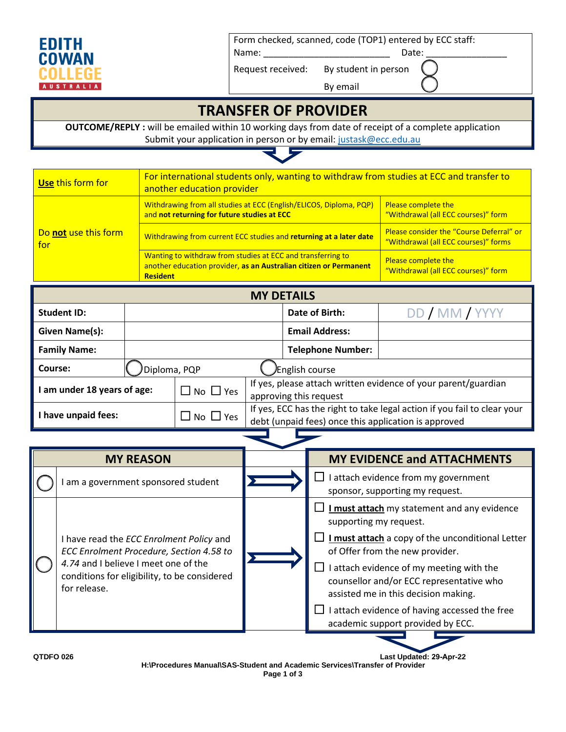

Form checked, scanned, code (TOP1) entered by ECC staff:

Name: \_\_\_\_\_\_\_\_\_\_\_\_\_\_\_\_\_\_\_\_\_\_\_\_\_ Date: \_\_\_\_\_\_\_\_\_\_\_\_\_\_\_\_

Request received: By student in person

By email

## **TRANSFER OF PROVIDER**

**OUTCOME/REPLY :** will be emailed within 10 working days from date of receipt of a complete application Submit your application in person or by email[: justask@ecc.edu.au](mailto:justask@ecc.edu.au)

| Use this form for           | For international students only, wanting to withdraw from studies at ECC and transfer to<br>another education provider                              |                                                                                  |  |
|-----------------------------|-----------------------------------------------------------------------------------------------------------------------------------------------------|----------------------------------------------------------------------------------|--|
|                             | Withdrawing from all studies at ECC (English/ELICOS, Diploma, PQP)<br>and not returning for future studies at ECC                                   | <b>Please complete the</b><br>"Withdrawal (all ECC courses)" form                |  |
| Do not use this form<br>for | Withdrawing from current ECC studies and returning at a later date                                                                                  | Please consider the "Course Deferral" or<br>"Withdrawal (all ECC courses)" forms |  |
|                             | Wanting to withdraw from studies at ECC and transferring to<br>another education provider, as an Australian citizen or Permanent<br><b>Resident</b> | <b>Please complete the</b><br>"Withdrawal (all ECC courses)" form                |  |

| <b>MY DETAILS</b>         |              |                            |                                                                                                                                  |                          |                |
|---------------------------|--------------|----------------------------|----------------------------------------------------------------------------------------------------------------------------------|--------------------------|----------------|
| <b>Student ID:</b>        |              |                            |                                                                                                                                  | Date of Birth:           | DD / MM / YYYY |
| Given Name(s):            |              |                            |                                                                                                                                  | <b>Email Address:</b>    |                |
| <b>Family Name:</b>       |              |                            |                                                                                                                                  | <b>Telephone Number:</b> |                |
| Course:                   | Diploma, PQP |                            | <b>English course</b>                                                                                                            |                          |                |
| am under 18 years of age: |              | $\square$ No $\square$ Yes | If yes, please attach written evidence of your parent/guardian<br>approving this request                                         |                          |                |
| I have unpaid fees:       |              | $\Box$ No $\Box$ Yes       | If yes, ECC has the right to take legal action if you fail to clear your<br>debt (unpaid fees) once this application is approved |                          |                |

|           | <b>MY REASON</b>                                                                                                                                                                             |  | <b>MY EVIDENCE and ATTACHMENTS</b>                                                                                                                                                                                                                                                                                                                                                        |  |
|-----------|----------------------------------------------------------------------------------------------------------------------------------------------------------------------------------------------|--|-------------------------------------------------------------------------------------------------------------------------------------------------------------------------------------------------------------------------------------------------------------------------------------------------------------------------------------------------------------------------------------------|--|
|           | am a government sponsored student                                                                                                                                                            |  | I attach evidence from my government<br>$\Box$<br>sponsor, supporting my request.                                                                                                                                                                                                                                                                                                         |  |
|           | I have read the ECC Enrolment Policy and<br>ECC Enrolment Procedure, Section 4.58 to<br>4.74 and I believe I meet one of the<br>conditions for eligibility, to be considered<br>for release. |  | I must attach my statement and any evidence<br>supporting my request.<br>$\Box$ I must attach a copy of the unconditional Letter<br>of Offer from the new provider.<br>I attach evidence of my meeting with the<br>counsellor and/or ECC representative who<br>assisted me in this decision making.<br>I attach evidence of having accessed the free<br>academic support provided by ECC. |  |
| QTDFO 026 |                                                                                                                                                                                              |  | Last Updated: 29-Apr-22                                                                                                                                                                                                                                                                                                                                                                   |  |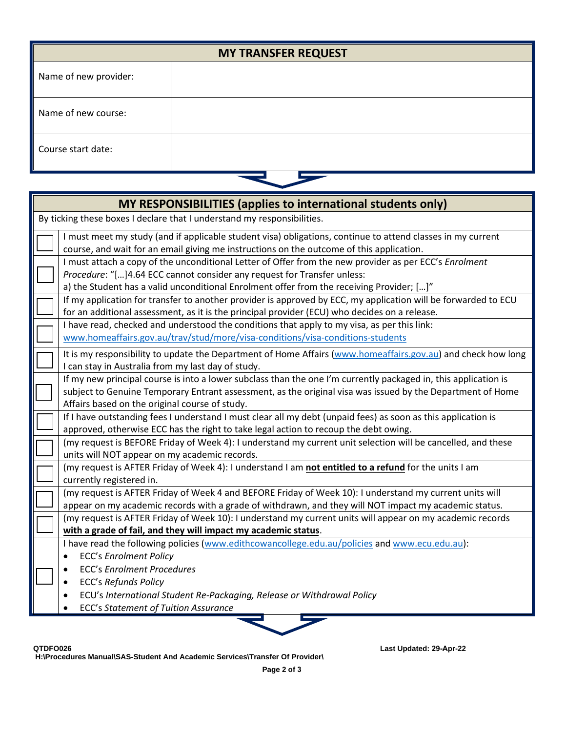| <b>MY TRANSFER REQUEST</b> |  |  |
|----------------------------|--|--|
| Name of new provider:      |  |  |
| Name of new course:        |  |  |
| Course start date:         |  |  |
|                            |  |  |

| MY RESPONSIBILITIES (applies to international students only)                                                                                                                                                                                                                                                                                         |
|------------------------------------------------------------------------------------------------------------------------------------------------------------------------------------------------------------------------------------------------------------------------------------------------------------------------------------------------------|
| By ticking these boxes I declare that I understand my responsibilities.                                                                                                                                                                                                                                                                              |
| I must meet my study (and if applicable student visa) obligations, continue to attend classes in my current<br>course, and wait for an email giving me instructions on the outcome of this application.                                                                                                                                              |
| I must attach a copy of the unconditional Letter of Offer from the new provider as per ECC's Enrolment<br>Procedure: "[]4.64 ECC cannot consider any request for Transfer unless:<br>a) the Student has a valid unconditional Enrolment offer from the receiving Provider; []"                                                                       |
| If my application for transfer to another provider is approved by ECC, my application will be forwarded to ECU<br>for an additional assessment, as it is the principal provider (ECU) who decides on a release.                                                                                                                                      |
| I have read, checked and understood the conditions that apply to my visa, as per this link:<br>www.homeaffairs.gov.au/trav/stud/more/visa-conditions/visa-conditions-students                                                                                                                                                                        |
| It is my responsibility to update the Department of Home Affairs (www.homeaffairs.gov.au) and check how long<br>I can stay in Australia from my last day of study.                                                                                                                                                                                   |
| If my new principal course is into a lower subclass than the one I'm currently packaged in, this application is<br>subject to Genuine Temporary Entrant assessment, as the original visa was issued by the Department of Home<br>Affairs based on the original course of study.                                                                      |
| If I have outstanding fees I understand I must clear all my debt (unpaid fees) as soon as this application is<br>approved, otherwise ECC has the right to take legal action to recoup the debt owing.                                                                                                                                                |
| (my request is BEFORE Friday of Week 4): I understand my current unit selection will be cancelled, and these<br>units will NOT appear on my academic records.                                                                                                                                                                                        |
| (my request is AFTER Friday of Week 4): I understand I am not entitled to a refund for the units I am<br>currently registered in.                                                                                                                                                                                                                    |
| (my request is AFTER Friday of Week 4 and BEFORE Friday of Week 10): I understand my current units will<br>appear on my academic records with a grade of withdrawn, and they will NOT impact my academic status.                                                                                                                                     |
| (my request is AFTER Friday of Week 10): I understand my current units will appear on my academic records<br>with a grade of fail, and they will impact my academic status.                                                                                                                                                                          |
| I have read the following policies (www.edithcowancollege.edu.au/policies and www.ecu.edu.au):<br><b>ECC's Enrolment Policy</b><br>٠<br><b>ECC's Enrolment Procedures</b><br><b>ECC's Refunds Policy</b><br>$\bullet$<br>ECU's International Student Re-Packaging, Release or Withdrawal Policy<br>$\bullet$<br>ECC's Statement of Tuition Assurance |
|                                                                                                                                                                                                                                                                                                                                                      |

**QTDFO026 Last Updated: 29-Apr-22** 

**H:\Procedures Manual\SAS-Student And Academic Services\Transfer Of Provider\**